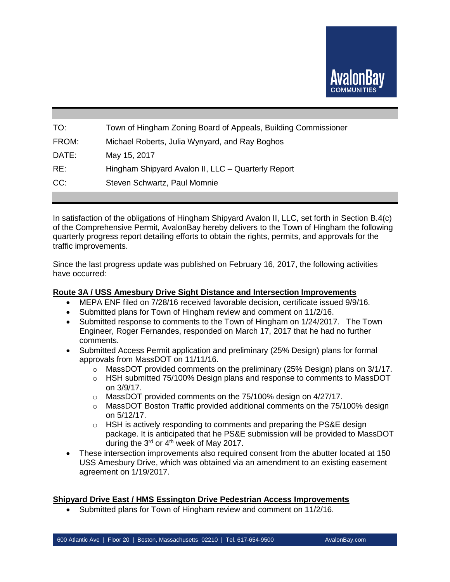

| TO:   | Town of Hingham Zoning Board of Appeals, Building Commissioner |
|-------|----------------------------------------------------------------|
| FROM: | Michael Roberts, Julia Wynyard, and Ray Boghos                 |
| DATE: | May 15, 2017                                                   |
| RE:   | Hingham Shipyard Avalon II, LLC - Quarterly Report             |
| CC:   | Steven Schwartz, Paul Momnie                                   |
|       |                                                                |

In satisfaction of the obligations of Hingham Shipyard Avalon II, LLC, set forth in Section B.4(c) of the Comprehensive Permit, AvalonBay hereby delivers to the Town of Hingham the following quarterly progress report detailing efforts to obtain the rights, permits, and approvals for the traffic improvements.

Since the last progress update was published on February 16, 2017, the following activities have occurred:

#### **Route 3A / USS Amesbury Drive Sight Distance and Intersection Improvements**

- MEPA ENF filed on 7/28/16 received favorable decision, certificate issued 9/9/16.
- Submitted plans for Town of Hingham review and comment on 11/2/16.
- Submitted response to comments to the Town of Hingham on 1/24/2017. The Town Engineer, Roger Fernandes, responded on March 17, 2017 that he had no further comments.
- Submitted Access Permit application and preliminary (25% Design) plans for formal approvals from MassDOT on 11/11/16.
	- $\circ$  MassDOT provided comments on the preliminary (25% Design) plans on 3/1/17.
	- o HSH submitted 75/100% Design plans and response to comments to MassDOT on 3/9/17.
	- o MassDOT provided comments on the 75/100% design on 4/27/17.
	- $\circ$  MassDOT Boston Traffic provided additional comments on the 75/100% design on 5/12/17.
	- $\circ$  HSH is actively responding to comments and preparing the PS&E design package. It is anticipated that he PS&E submission will be provided to MassDOT during the 3<sup>rd</sup> or 4<sup>th</sup> week of May 2017.
- These intersection improvements also required consent from the abutter located at 150 USS Amesbury Drive, which was obtained via an amendment to an existing easement agreement on 1/19/2017.

### **Shipyard Drive East / HMS Essington Drive Pedestrian Access Improvements**

Submitted plans for Town of Hingham review and comment on 11/2/16.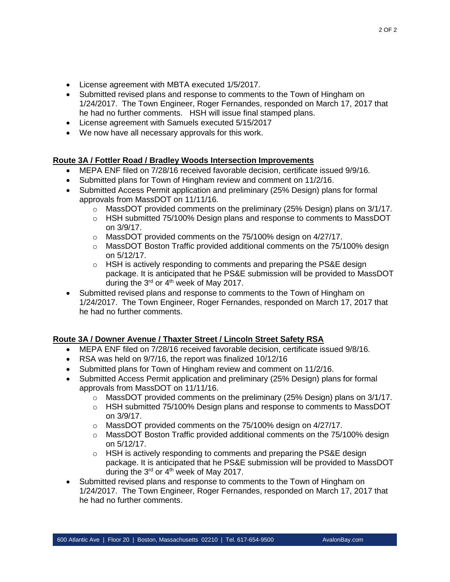2 OF 2

- License agreement with MBTA executed 1/5/2017.
- Submitted revised plans and response to comments to the Town of Hingham on 1/24/2017. The Town Engineer, Roger Fernandes, responded on March 17, 2017 that he had no further comments. HSH will issue final stamped plans.
- License agreement with Samuels executed 5/15/2017
- We now have all necessary approvals for this work.

# **Route 3A / Fottler Road / Bradley Woods Intersection Improvements**

- MEPA ENF filed on 7/28/16 received favorable decision, certificate issued 9/9/16.
- Submitted plans for Town of Hingham review and comment on 11/2/16.
- Submitted Access Permit application and preliminary (25% Design) plans for formal approvals from MassDOT on 11/11/16.
	- $\circ$  MassDOT provided comments on the preliminary (25% Design) plans on 3/1/17.
	- o HSH submitted 75/100% Design plans and response to comments to MassDOT on 3/9/17.
	- o MassDOT provided comments on the 75/100% design on 4/27/17.
	- $\circ$  MassDOT Boston Traffic provided additional comments on the 75/100% design on 5/12/17.
	- o HSH is actively responding to comments and preparing the PS&E design package. It is anticipated that he PS&E submission will be provided to MassDOT during the  $3<sup>rd</sup>$  or  $4<sup>th</sup>$  week of May 2017.
- Submitted revised plans and response to comments to the Town of Hingham on 1/24/2017. The Town Engineer, Roger Fernandes, responded on March 17, 2017 that he had no further comments.

# **Route 3A / Downer Avenue / Thaxter Street / Lincoln Street Safety RSA**

- MEPA ENF filed on 7/28/16 received favorable decision, certificate issued 9/8/16.
- RSA was held on 9/7/16, the report was finalized 10/12/16
- Submitted plans for Town of Hingham review and comment on 11/2/16.
- Submitted Access Permit application and preliminary (25% Design) plans for formal approvals from MassDOT on 11/11/16.
	- $\circ$  MassDOT provided comments on the preliminary (25% Design) plans on 3/1/17.
	- $\circ$  HSH submitted 75/100% Design plans and response to comments to MassDOT on 3/9/17.
	- o MassDOT provided comments on the 75/100% design on 4/27/17.
	- $\circ$  MassDOT Boston Traffic provided additional comments on the 75/100% design on 5/12/17.
	- o HSH is actively responding to comments and preparing the PS&E design package. It is anticipated that he PS&E submission will be provided to MassDOT during the 3<sup>rd</sup> or 4<sup>th</sup> week of May 2017.
- Submitted revised plans and response to comments to the Town of Hingham on 1/24/2017. The Town Engineer, Roger Fernandes, responded on March 17, 2017 that he had no further comments.